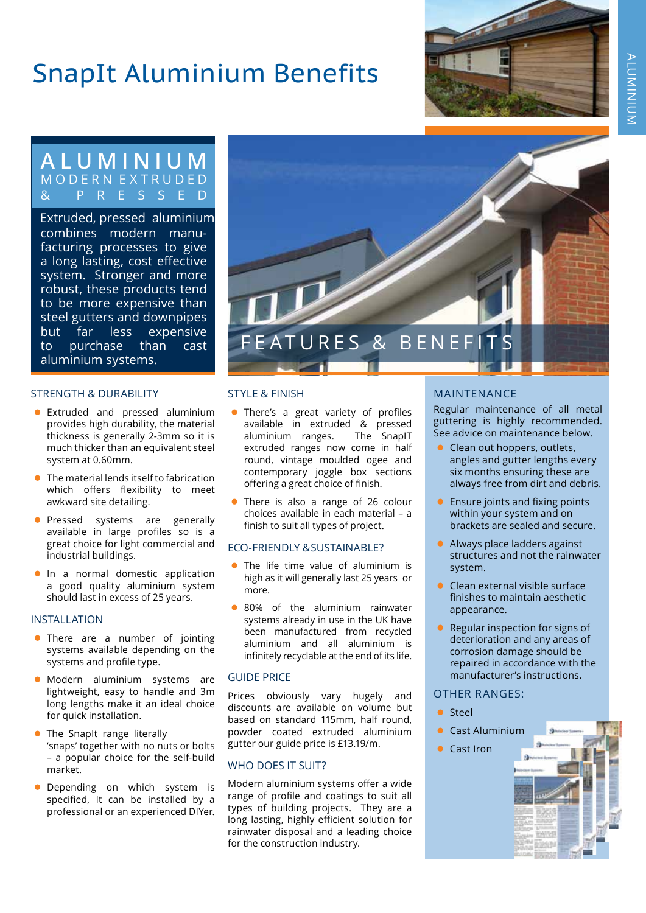## SnapIt Aluminium Benefits



### **ALUMINIUM** M O D E R N E X T R U D E D & PRESSED

combines modern manufacturing processes to give a long lasting, cost effective system. Stronger and more robust, these products tend to be more expensive than steel gutters and downpipes but far less expensive to purchase than cast aluminium systems. Extruded, pressed aluminium

### STRENGTH & DURABILITY

- Extruded and pressed aluminium provides high durability, the material thickness is generally 2-3mm so it is much thicker than an equivalent steel system at 0.60mm.
- The material lends itself to fabrication which offers flexibility to meet awkward site detailing.
- **•** Pressed systems are generally available in large profiles so is a great choice for light commercial and industrial buildings.
- **•** In a normal domestic application a good quality aluminium system should last in excess of 25 years.

### INSTALLATION

- There are a number of jointing systems available depending on the systems and profile type.
- · Modern aluminium systems are lightweight, easy to handle and 3m long lengths make it an ideal choice for quick installation.
- The SnapIt range literally 'snaps' together with no nuts or bolts – a popular choice for the self-build market.
- Depending on which system is specified, It can be installed by a professional or an experienced DIYer.



### STYLE & FINISH

- There's a great variety of profiles available in extruded & pressed aluminium ranges. The SnapIT extruded ranges now come in half round, vintage moulded ogee and contemporary joggle box sections offering a great choice of finish.
- There is also a range of 26 colour choices available in each material – a finish to suit all types of project.

### ECO-FRIENDLY &SUSTAINABLE?

- The life time value of aluminium is high as it will generally last 25 years or more.
- 80% of the aluminium rainwater systems already in use in the UK have been manufactured from recycled aluminium and all aluminium is infinitely recyclable at the end of its life.

### GUIDE PRICE

Prices obviously vary hugely and discounts are available on volume but based on standard 115mm, half round, powder coated extruded aluminium gutter our guide price is £13.19/m.

### WHO DOES IT SUIT?

Modern aluminium systems offer a wide range of profile and coatings to suit all types of building projects. They are a long lasting, highly efficient solution for rainwater disposal and a leading choice for the construction industry.

### MAINTENANCE

Regular maintenance of all metal guttering is highly recommended. See advice on maintenance below.

- Clean out hoppers, outlets, angles and gutter lengths every six months ensuring these are always free from dirt and debris.
- Ensure joints and fixing points within your system and on brackets are sealed and secure.
- $\bullet$  Always place ladders against structures and not the rainwater system.
- $\bullet$  Clean external visible surface finishes to maintain aesthetic appearance.
- $\bullet$  Regular inspection for signs of deterioration and any areas of corrosion damage should be repaired in accordance with the manufacturer's instructions.

### OTHER RANGES:

- **•** Steel
- Cast Aluminium
- **Cast Iron**